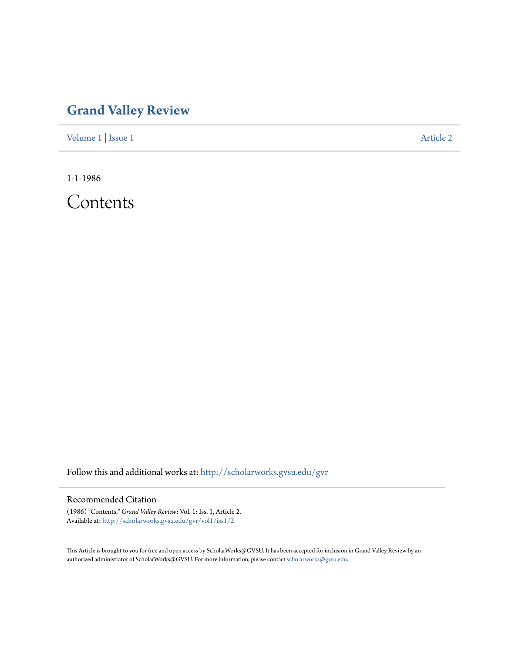## **[Grand Valley Review](http://scholarworks.gvsu.edu/gvr?utm_source=scholarworks.gvsu.edu%2Fgvr%2Fvol1%2Fiss1%2F2&utm_medium=PDF&utm_campaign=PDFCoverPages)**

[Volume 1](http://scholarworks.gvsu.edu/gvr/vol1?utm_source=scholarworks.gvsu.edu%2Fgvr%2Fvol1%2Fiss1%2F2&utm_medium=PDF&utm_campaign=PDFCoverPages) | [Issue 1](http://scholarworks.gvsu.edu/gvr/vol1/iss1?utm_source=scholarworks.gvsu.edu%2Fgvr%2Fvol1%2Fiss1%2F2&utm_medium=PDF&utm_campaign=PDFCoverPages) [Article 2](http://scholarworks.gvsu.edu/gvr/vol1/iss1/2?utm_source=scholarworks.gvsu.edu%2Fgvr%2Fvol1%2Fiss1%2F2&utm_medium=PDF&utm_campaign=PDFCoverPages)

1-1-1986

Contents

Follow this and additional works at: [http://scholarworks.gvsu.edu/gvr](http://scholarworks.gvsu.edu/gvr?utm_source=scholarworks.gvsu.edu%2Fgvr%2Fvol1%2Fiss1%2F2&utm_medium=PDF&utm_campaign=PDFCoverPages)

## Recommended Citation

(1986) "Contents," *Grand Valley Review*: Vol. 1: Iss. 1, Article 2. Available at: [http://scholarworks.gvsu.edu/gvr/vol1/iss1/2](http://scholarworks.gvsu.edu/gvr/vol1/iss1/2?utm_source=scholarworks.gvsu.edu%2Fgvr%2Fvol1%2Fiss1%2F2&utm_medium=PDF&utm_campaign=PDFCoverPages)

This Article is brought to you for free and open access by ScholarWorks@GVSU. It has been accepted for inclusion in Grand Valley Review by an authorized administrator of ScholarWorks@GVSU. For more information, please contact [scholarworks@gvsu.edu.](mailto:scholarworks@gvsu.edu)